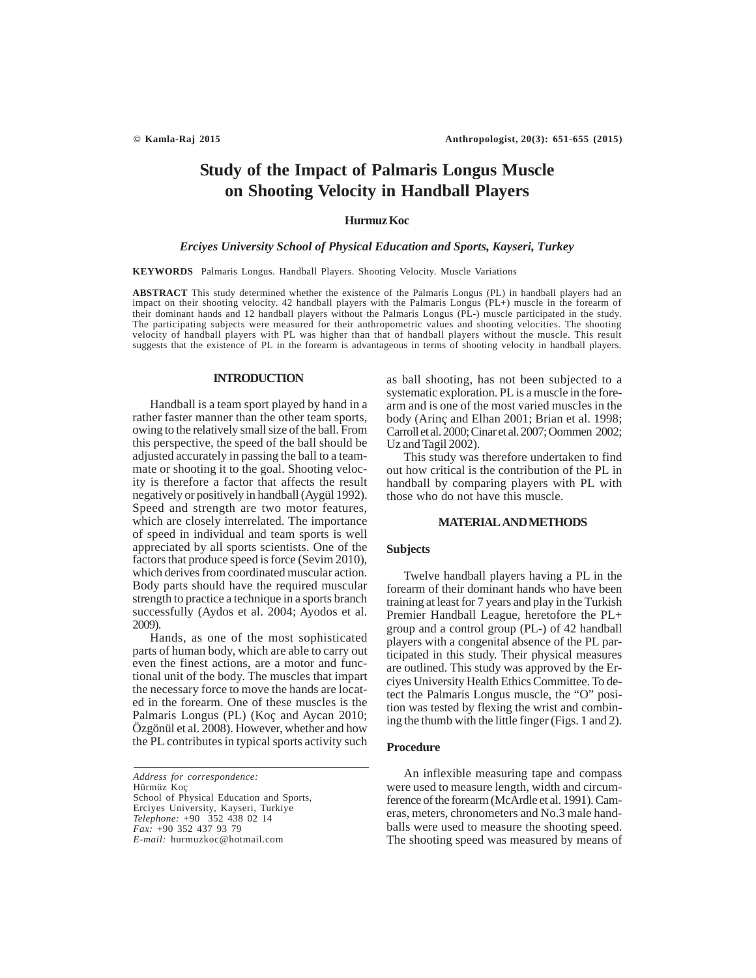# **Study of the Impact of Palmaris Longus Muscle on Shooting Velocity in Handball Players**

# **Hurmuz Koc**

## *Erciyes University School of Physical Education and Sports, Kayseri, Turkey*

**KEYWORDS** Palmaris Longus. Handball Players. Shooting Velocity. Muscle Variations

**ABSTRACT** This study determined whether the existence of the Palmaris Longus (PL) in handball players had an impact on their shooting velocity. 42 handball players with the Palmaris Longus (PL**+**) muscle in the forearm of their dominant hands and 12 handball players without the Palmaris Longus (PL-) muscle participated in the study. The participating subjects were measured for their anthropometric values and shooting velocities. The shooting velocity of handball players with PL was higher than that of handball players without the muscle. This result suggests that the existence of PL in the forearm is advantageous in terms of shooting velocity in handball players.

### **INTRODUCTION**

Handball is a team sport played by hand in a rather faster manner than the other team sports, owing to the relatively small size of the ball. From this perspective, the speed of the ball should be adjusted accurately in passing the ball to a teammate or shooting it to the goal. Shooting velocity is therefore a factor that affects the result negatively or positively in handball (Aygül 1992). Speed and strength are two motor features, which are closely interrelated. The importance of speed in individual and team sports is well appreciated by all sports scientists. One of the factors that produce speed is force (Sevim 2010), which derives from coordinated muscular action. Body parts should have the required muscular strength to practice a technique in a sports branch successfully (Aydos et al. 2004; Ayodos et al. 2009).

Hands, as one of the most sophisticated parts of human body, which are able to carry out even the finest actions, are a motor and functional unit of the body. The muscles that impart the necessary force to move the hands are located in the forearm. One of these muscles is the Palmaris Longus (PL) (Koç and Aycan 2010; Özgönül et al. 2008). However, whether and how the PL contributes in typical sports activity such

*Address for correspondence:* Hürmüz Koç School of Physical Education and Sports, Erciyes University, Kayseri, Turkiye *Telephone:* +90 352 438 02 14 *Fax:* +90 352 437 93 79 *E-mail:* hurmuzkoc@hotmail.com

as ball shooting, has not been subjected to a systematic exploration. PL is a muscle in the forearm and is one of the most varied muscles in the body (Arinç and Elhan 2001; Brian et al. 1998; Carroll et al. 2000; Cinar et al. 2007; Oommen 2002; Uz and Tagil 2002).

This study was therefore undertaken to find out how critical is the contribution of the PL in handball by comparing players with PL with those who do not have this muscle.

## **MATERIAL AND METHODS**

# **Subjects**

Twelve handball players having a PL in the forearm of their dominant hands who have been training at least for 7 years and play in the Turkish Premier Handball League, heretofore the PL+ group and a control group (PL-) of 42 handball players with a congenital absence of the PL participated in this study. Their physical measures are outlined. This study was approved by the Erciyes University Health Ethics Committee. To detect the Palmaris Longus muscle, the "O" position was tested by flexing the wrist and combining the thumb with the little finger (Figs. 1 and 2).

### **Procedure**

An inflexible measuring tape and compass were used to measure length, width and circumference of the forearm (McArdle et al. 1991). Cameras, meters, chronometers and No.3 male handballs were used to measure the shooting speed. The shooting speed was measured by means of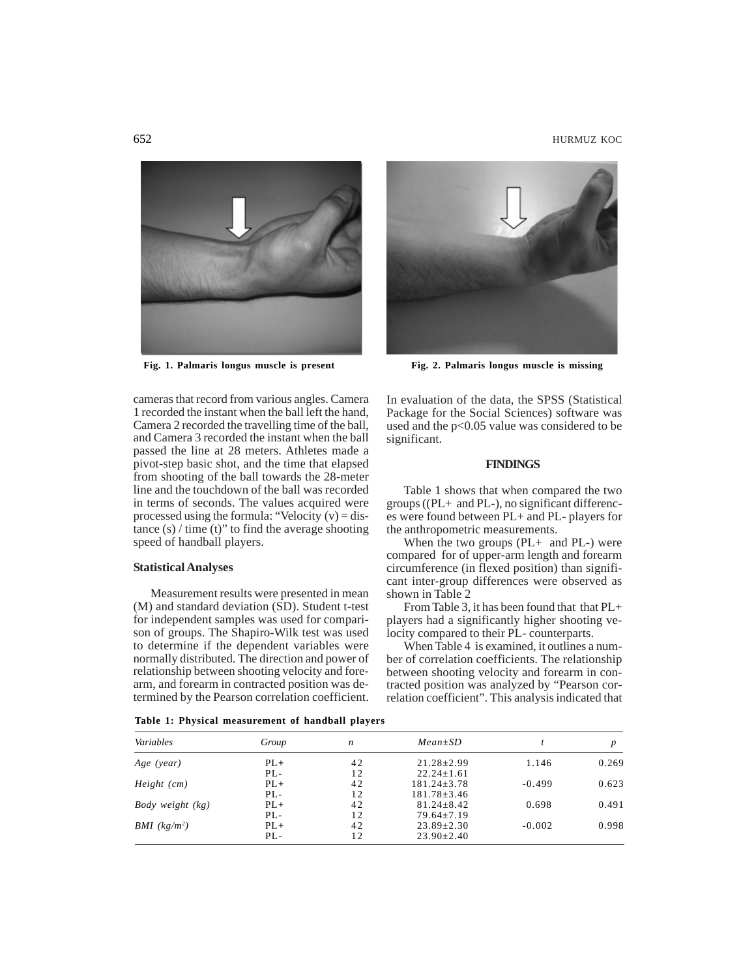

cameras that record from various angles. Camera 1 recorded the instant when the ball left the hand, Camera 2 recorded the travelling time of the ball, and Camera 3 recorded the instant when the ball passed the line at 28 meters. Athletes made a pivot-step basic shot, and the time that elapsed from shooting of the ball towards the 28-meter line and the touchdown of the ball was recorded in terms of seconds. The values acquired were processed using the formula: "Velocity  $(v) =$  distance  $(s)$  / time  $(t)$ " to find the average shooting speed of handball players.

### **Statistical Analyses**

Measurement results were presented in mean (M) and standard deviation (SD). Student t-test for independent samples was used for comparison of groups. The Shapiro-Wilk test was used to determine if the dependent variables were normally distributed. The direction and power of relationship between shooting velocity and forearm, and forearm in contracted position was determined by the Pearson correlation coefficient.



Fig. 1. Palmaris longus muscle is present Fig. 2. Palmaris longus muscle is missing

In evaluation of the data, the SPSS (Statistical Package for the Social Sciences) software was used and the p<0.05 value was considered to be significant.

# **FINDINGS**

Table 1 shows that when compared the two groups ((PL+ and PL-), no significant differences were found between PL+ and PL- players for the anthropometric measurements.

When the two groups  $(PL+$  and  $PL-)$  were compared for of upper-arm length and forearm circumference (in flexed position) than significant inter-group differences were observed as shown in Table 2

From Table 3, it has been found that that PL+ players had a significantly higher shooting velocity compared to their PL- counterparts.

When Table 4 is examined, it outlines a number of correlation coefficients. The relationship between shooting velocity and forearm in contracted position was analyzed by "Pearson correlation coefficient". This analysis indicated that

*Variables Group n Mean±SD t p Age (year)* PL**+** 42 21.28±2.99 1.146 0.269 PL- 12 22.24±1.61 *Height (cm)* **PL**+  $42$   $181.24\pm3.78$   $-0.499$  0.623<br>**PL**-  $12$   $181.78\pm3.46$  $181.78 \pm 3.46$ <br> $81.24 \pm 8.42$ *Body weight (kg)* **PL+**  $42$   $81.24\pm8.42$  0.698 0.491<br>**PL-**  $12$   $79.64\pm7.19$ PL<sub>-</sub> 12 79.64±7.19<br>PL+ 42 23.89+2.30 *BMI (kg/m2 )* PL**+** 42 23.89±2.30 -0.002 0.998 PL- 12 23.90±2.40

**Table 1: Physical measurement of handball players**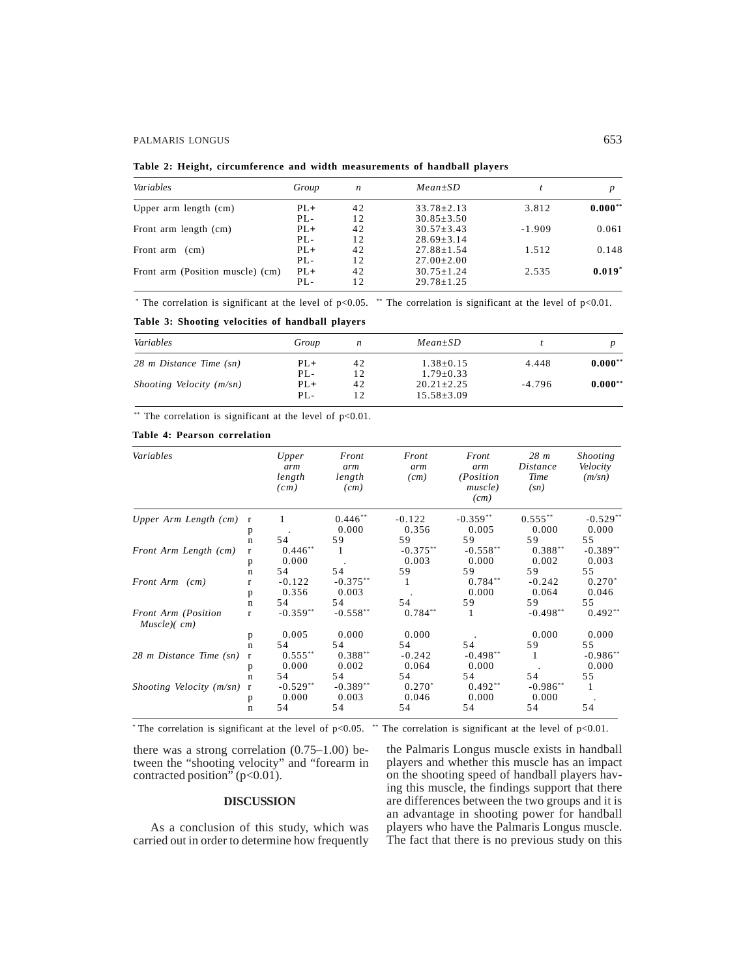### PALMARIS LONGUS 653

|  | Table 2: Height, circumference and width measurements of handball players |  |  |  |
|--|---------------------------------------------------------------------------|--|--|--|
|  |                                                                           |  |  |  |

| Variables                        | Group  | n  | $Mean \pm SD$    |          |           |
|----------------------------------|--------|----|------------------|----------|-----------|
| Upper arm length (cm)            | $PL+$  | 42 | $33.78 + 2.13$   | 3.812    | $0.000**$ |
|                                  | $PL -$ | 12 | $30.85 \pm 3.50$ |          |           |
| Front arm length (cm)            | $PL+$  | 42 | $30.57 \pm 3.43$ | $-1.909$ | 0.061     |
|                                  | $PL -$ | 12 | $28.69 \pm 3.14$ |          |           |
| Front arm (cm)                   | $PL+$  | 42 | $27.88 \pm 1.54$ | 1.512    | 0.148     |
|                                  | $PL -$ | 12 | $27.00 \pm 2.00$ |          |           |
| Front arm (Position muscle) (cm) | $PL+$  | 42 | $30.75 + 1.24$   | 2.535    | $0.019*$  |
|                                  | PL-    | 12 | $29.78 \pm 1.25$ |          |           |

\* The correlation is significant at the level of  $p<0.05$ . \*\* The correlation is significant at the level of  $p<0.01$ .

**Table 3: Shooting velocities of handball players**

| Variables                   | Group<br>n |    | $Mean \pm SD$    |          |           |  |
|-----------------------------|------------|----|------------------|----------|-----------|--|
| 28 m Distance Time (sn)     | $PL+$      | 42 | $1.38 \pm 0.15$  | 4.448    | $0.000**$ |  |
|                             | $PL -$     | 12 | $1.79 + 0.33$    |          |           |  |
| Shooting Velocity $(m\sin)$ | $PL+$      | 42 | $20.21 + 2.25$   | $-4.796$ | $0.000**$ |  |
|                             | $PL -$     | 12 | $15.58 \pm 3.09$ |          |           |  |

\*\* The correlation is significant at the level of  $p<0.01$ .

# **Table 4: Pearson correlation**

| Variables                          |                   | Upper<br>arm<br>length<br>(cm) | Front<br>arm<br>length<br>(cm) | Front<br>arm<br>(cm) | Front<br>arm<br>( <i>Position</i> )<br>muscle)<br>(cm) | 28 <sub>m</sub><br><b>Distance</b><br>Time<br>(sn) | <b>Shooting</b><br>Velocity<br>$(m\sqrt{sn})$ |
|------------------------------------|-------------------|--------------------------------|--------------------------------|----------------------|--------------------------------------------------------|----------------------------------------------------|-----------------------------------------------|
| Upper Arm Length (cm)              | 1<br>$\mathbf{r}$ | $0.446**$                      | $-0.122$                       | $-0.359**$           | $0.555***$                                             | $-0.529*$                                          |                                               |
|                                    | p                 |                                | 0.000                          | 0.356                | 0.005                                                  | 0.000                                              | 0.000                                         |
|                                    | $\mathbf n$       | 54                             | 59                             | 59                   | 59                                                     | 59                                                 | 55                                            |
| Front Arm Length (cm)              | $\mathbf{r}$      | $0.446**$                      | 1                              | $-0.375**$           | $-0.558**$                                             | $0.388**$                                          | $-0.389**$                                    |
|                                    | p                 | 0.000                          |                                | 0.003                | 0.000                                                  | 0.002                                              | 0.003                                         |
|                                    | $\mathbf n$       | 54                             | 54                             | 59                   | 59                                                     | 59                                                 | 55                                            |
| Front Arm (cm)                     | r                 | $-0.122$                       | $-0.375**$                     | 1                    | $0.784**$                                              | $-0.242$                                           | $0.270*$                                      |
|                                    | p                 | 0.356                          | 0.003                          |                      | 0.000                                                  | 0.064                                              | 0.046                                         |
|                                    | $\mathbf n$       | 54                             | 54                             | 54                   | 59                                                     | 59                                                 | 55                                            |
| Front Arm (Position<br>Muscle)(cm) | $\mathbf{r}$      | $-0.359**$                     | $-0.558**$                     | $0.784**$            | -1                                                     | $-0.498**$                                         | $0.492**$                                     |
|                                    | p                 | 0.005                          | 0.000                          | 0.000                |                                                        | 0.000                                              | 0.000                                         |
|                                    | $\mathbf n$       | 54                             | 54                             | 54                   | 54                                                     | 59                                                 | 55                                            |
| 28 m Distance Time (sn)            | $\mathbf{r}$      | $0.555***$                     | $0.388**$                      | $-0.242$             | $-0.498**$                                             | 1                                                  | $-0.986**$                                    |
|                                    | p                 | 0.000                          | 0.002                          | 0.064                | 0.000                                                  |                                                    | 0.000                                         |
|                                    | $\mathbf n$       | 54                             | 54                             | 54                   | 54                                                     | 54                                                 | 55                                            |
| Shooting Velocity (m/sn)           | $\mathbf{r}$      | $-0.529**$                     | $-0.389**$                     | $0.270*$             | $0.492**$                                              | $-0.986**$                                         | 1                                             |
|                                    | p                 | 0.000                          | 0.003                          | 0.046                | 0.000                                                  | 0.000                                              |                                               |
|                                    | $\mathbf n$       | 54                             | 54                             | 54                   | 54                                                     | 54                                                 | 54                                            |

\* The correlation is significant at the level of  $p<0.05$ . \*\* The correlation is significant at the level of  $p<0.01$ .

there was a strong correlation (0.75–1.00) between the "shooting velocity" and "forearm in contracted position" (p<0.01).

# **DISCUSSION**

As a conclusion of this study, which was carried out in order to determine how frequently

the Palmaris Longus muscle exists in handball players and whether this muscle has an impact on the shooting speed of handball players having this muscle, the findings support that there are differences between the two groups and it is an advantage in shooting power for handball players who have the Palmaris Longus muscle. The fact that there is no previous study on this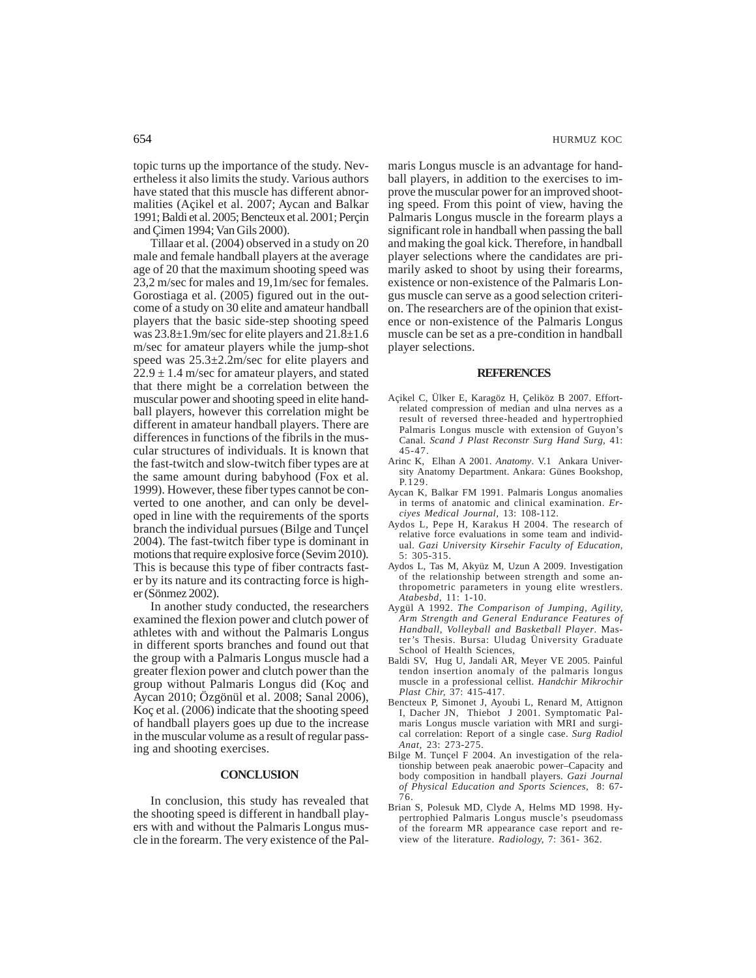topic turns up the importance of the study. Nevertheless it also limits the study. Various authors have stated that this muscle has different abnormalities (Açikel et al. 2007; Aycan and Balkar 1991; Baldi et al. 2005; Bencteux et al. 2001; Perçin and Çimen 1994; Van Gils 2000).

Tillaar et al. (2004) observed in a study on 20 male and female handball players at the average age of 20 that the maximum shooting speed was 23,2 m/sec for males and 19,1m/sec for females. Gorostiaga et al. (2005) figured out in the outcome of a study on 30 elite and amateur handball players that the basic side-step shooting speed was 23.8±1.9m/sec for elite players and 21.8±1.6 m/sec for amateur players while the jump-shot speed was 25.3±2.2m/sec for elite players and  $22.9 \pm 1.4$  m/sec for amateur players, and stated that there might be a correlation between the muscular power and shooting speed in elite handball players, however this correlation might be different in amateur handball players. There are differences in functions of the fibrils in the muscular structures of individuals. It is known that the fast-twitch and slow-twitch fiber types are at the same amount during babyhood (Fox et al. 1999). However, these fiber types cannot be converted to one another, and can only be developed in line with the requirements of the sports branch the individual pursues (Bilge and Tunçel 2004). The fast-twitch fiber type is dominant in motions that require explosive force (Sevim 2010). This is because this type of fiber contracts faster by its nature and its contracting force is higher (Sönmez 2002).

In another study conducted, the researchers examined the flexion power and clutch power of athletes with and without the Palmaris Longus in different sports branches and found out that the group with a Palmaris Longus muscle had a greater flexion power and clutch power than the group without Palmaris Longus did (Koç and Aycan 2010; Özgönül et al. 2008; Sanal 2006), Koç et al. (2006) indicate that the shooting speed of handball players goes up due to the increase in the muscular volume as a result of regular passing and shooting exercises.

### **CONCLUSION**

In conclusion, this study has revealed that the shooting speed is different in handball players with and without the Palmaris Longus muscle in the forearm. The very existence of the Palmaris Longus muscle is an advantage for handball players, in addition to the exercises to improve the muscular power for an improved shooting speed. From this point of view, having the Palmaris Longus muscle in the forearm plays a significant role in handball when passing the ball and making the goal kick. Therefore, in handball player selections where the candidates are primarily asked to shoot by using their forearms, existence or non-existence of the Palmaris Longus muscle can serve as a good selection criterion. The researchers are of the opinion that existence or non-existence of the Palmaris Longus muscle can be set as a pre-condition in handball player selections.

#### **REFERENCES**

- Açikel C, Ülker E, Karagöz H, Çeliköz B 2007. Effortrelated compression of median and ulna nerves as a result of reversed three-headed and hypertrophied Palmaris Longus muscle with extension of Guyon's Canal. *Scand J Plast Reconstr Surg Hand Surg,* 41: 45-47.
- Arinc K, Elhan A 2001. *Anatomy*. V.1 Ankara University Anatomy Department. Ankara: Günes Bookshop, P.129.
- Aycan K, Balkar FM 1991. Palmaris Longus anomalies in terms of anatomic and clinical examination. *Erciyes Medical Journal,* 13: 108-112.
- Aydos L, Pepe H, Karakus H 2004. The research of relative force evaluations in some team and individual. *Gazi University Kirsehir Faculty of Education*, 5: 305-315.
- Aydos L, Tas M, Akyüz M, Uzun A 2009. Investigation of the relationship between strength and some anthropometric parameters in young elite wrestlers. *Atabesbd,* 11: 1-10.
- Aygül A 1992. *The Comparison of Jumping, Agility, Arm Strength and General Endurance Features of Handball, Volleyball and Basketball Player*. Master's Thesis. Bursa: Uludag Üniversity Graduate School of Health Sciences
- Baldi SV, Hug U, Jandali AR, Meyer VE 2005. Painful tendon insertion anomaly of the palmaris longus muscle in a professional cellist. *Handchir Mikrochir Plast Chir,* 37: 415-417.
- Bencteux P, Simonet J, Ayoubi L, Renard M, Attignon I, Dacher JN, Thiebot J 2001. Symptomatic Palmaris Longus muscle variation with MRI and surgical correlation: Report of a single case. *Surg Radiol Anat,* 23: 273-275.
- Bilge M. Tunçel F 2004. An investigation of the relationship between peak anaerobic power–Capacity and body composition in handball players. *Gazi Journal of Physical Education and Sports Sciences,* 8: 67- 76.
- Brian S, Polesuk MD, Clyde A, Helms MD 1998. Hypertrophied Palmaris Longus muscle's pseudomass of the forearm MR appearance case report and review of the literature. *Radiology,* 7: 361- 362.